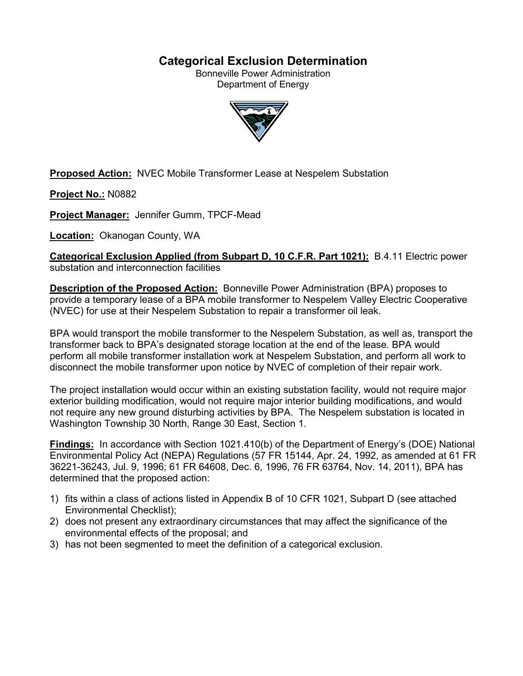# **Categorical Exclusion Determination**

Bonneville Power Administration Department of Energy



**Proposed Action:** NVEC Mobile Transformer Lease at Nespelem Substation

**Project No.:** N0882

**Project Manager:** Jennifer Gumm, TPCF-Mead

**Location:** Okanogan County, WA

**Categorical Exclusion Applied (from Subpart D, 10 C.F.R. Part 1021):** B.4.11 Electric power substation and interconnection facilities

**Description of the Proposed Action:** Bonneville Power Administration (BPA) proposes to provide a temporary lease of a BPA mobile transformer to Nespelem Valley Electric Cooperative (NVEC) for use at their Nespelem Substation to repair a transformer oil leak.

BPA would transport the mobile transformer to the Nespelem Substation, as well as, transport the transformer back to BPA's designated storage location at the end of the lease. BPA would perform all mobile transformer installation work at Nespelem Substation, and perform all work to disconnect the mobile transformer upon notice by NVEC of completion of their repair work.

The project installation would occur within an existing substation facility, would not require major exterior building modification, would not require major interior building modifications, and would not require any new ground disturbing activities by BPA. The Nespelem substation is located in Washington Township 30 North, Range 30 East, Section 1.

**Findings:** In accordance with Section 1021.410(b) of the Department of Energy's (DOE) National Environmental Policy Act (NEPA) Regulations (57 FR 15144, Apr. 24, 1992, as amended at 61 FR 36221-36243, Jul. 9, 1996; 61 FR 64608, Dec. 6, 1996, 76 FR 63764, Nov. 14, 2011), BPA has determined that the proposed action:

- 1) fits within a class of actions listed in Appendix B of 10 CFR 1021, Subpart D (see attached Environmental Checklist);
- 2) does not present any extraordinary circumstances that may affect the significance of the environmental effects of the proposal; and
- 3) has not been segmented to meet the definition of a categorical exclusion.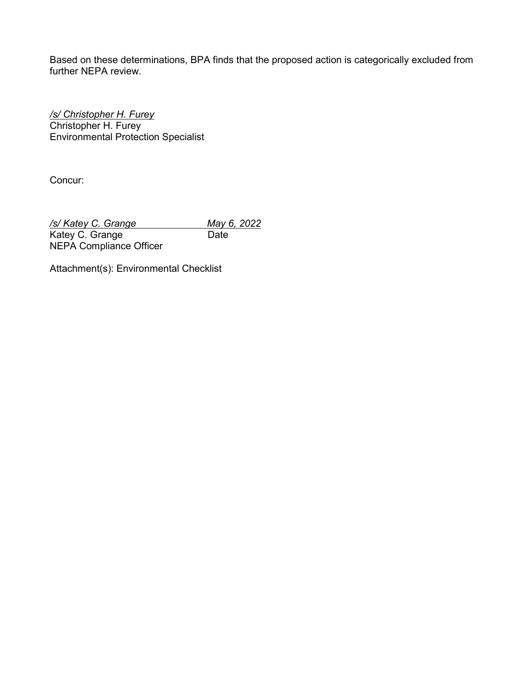Based on these determinations, BPA finds that the proposed action is categorically excluded from further NEPA review.

*/s/ Christopher H. Furey* Christopher H. Furey Environmental Protection Specialist

Concur:

*/s/ Katey C. Grange May 6, 2022*<br>Katey C. Grange **Date** *Date* Katey C. Grange NEPA Compliance Officer

Attachment(s): Environmental Checklist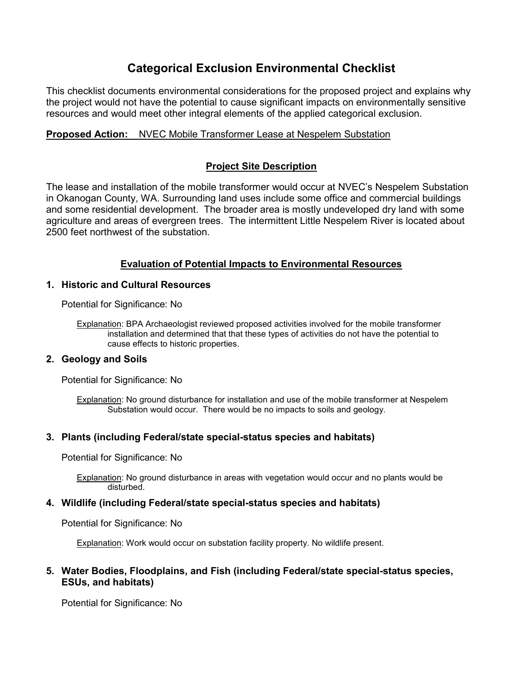# **Categorical Exclusion Environmental Checklist**

This checklist documents environmental considerations for the proposed project and explains why the project would not have the potential to cause significant impacts on environmentally sensitive resources and would meet other integral elements of the applied categorical exclusion.

## **Proposed Action:** NVEC Mobile Transformer Lease at Nespelem Substation

# **Project Site Description**

The lease and installation of the mobile transformer would occur at NVEC's Nespelem Substation in Okanogan County, WA. Surrounding land uses include some office and commercial buildings and some residential development. The broader area is mostly undeveloped dry land with some agriculture and areas of evergreen trees. The intermittent Little Nespelem River is located about 2500 feet northwest of the substation.

# **Evaluation of Potential Impacts to Environmental Resources**

## **1. Historic and Cultural Resources**

Potential for Significance: No

Explanation: BPA Archaeologist reviewed proposed activities involved for the mobile transformer installation and determined that that these types of activities do not have the potential to cause effects to historic properties.

## **2. Geology and Soils**

Potential for Significance: No

Explanation: No ground disturbance for installation and use of the mobile transformer at Nespelem Substation would occur. There would be no impacts to soils and geology.

## **3. Plants (including Federal/state special-status species and habitats)**

Potential for Significance: No

Explanation: No ground disturbance in areas with vegetation would occur and no plants would be disturbed.

## **4. Wildlife (including Federal/state special-status species and habitats)**

Potential for Significance: No

Explanation: Work would occur on substation facility property. No wildlife present.

## **5. Water Bodies, Floodplains, and Fish (including Federal/state special-status species, ESUs, and habitats)**

Potential for Significance: No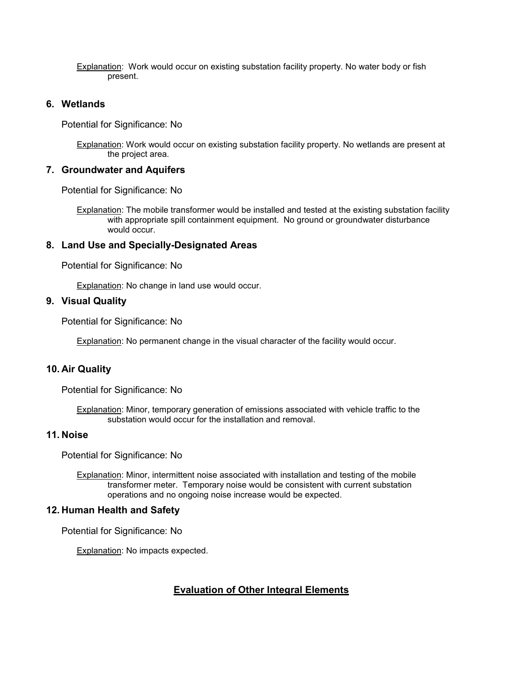Explanation: Work would occur on existing substation facility property. No water body or fish present.

#### **6. Wetlands**

Potential for Significance: No

Explanation: Work would occur on existing substation facility property. No wetlands are present at the project area.

#### **7. Groundwater and Aquifers**

Potential for Significance: No

Explanation: The mobile transformer would be installed and tested at the existing substation facility with appropriate spill containment equipment. No ground or groundwater disturbance would occur.

#### **8. Land Use and Specially-Designated Areas**

Potential for Significance: No

Explanation: No change in land use would occur.

#### **9. Visual Quality**

Potential for Significance: No

**Explanation:** No permanent change in the visual character of the facility would occur.

#### **10. Air Quality**

Potential for Significance: No

Explanation: Minor, temporary generation of emissions associated with vehicle traffic to the substation would occur for the installation and removal.

#### **11. Noise**

Potential for Significance: No

Explanation: Minor, intermittent noise associated with installation and testing of the mobile transformer meter. Temporary noise would be consistent with current substation operations and no ongoing noise increase would be expected.

#### **12. Human Health and Safety**

Potential for Significance: No

Explanation: No impacts expected.

## **Evaluation of Other Integral Elements**